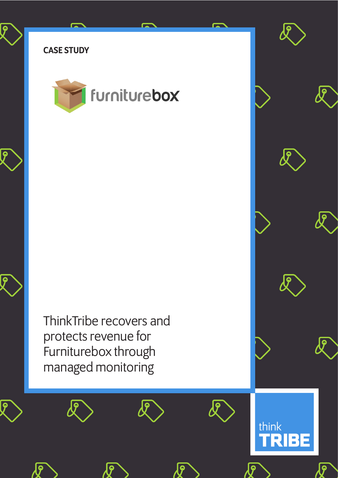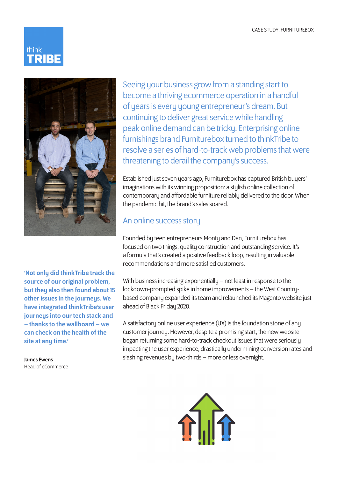



'Not only did thinkTribe track the source of our original problem, but they also then found about 15 other issues in the journeys. We have integrated thinkTribe's user journeys into our tech stack and – thanks to the wallboard – we can check on the health of the site at any time.'

James Ewens Head of eCommerce Seeing your business grow from a standing start to become a thriving ecommerce operation in a handful of years is every young entrepreneur's dream. But continuing to deliver great service while handling peak online demand can be tricky. Enterprising online furnishings brand Furniturebox turned to thinkTribe to resolve a series of hard-to-track web problems that were threatening to derail the company's success.

Established just seven years ago, Furniturebox has captured British buyers' imaginations with its winning proposition: a stylish online collection of contemporary and affordable furniture reliably delivered to the door. When the pandemic hit, the brand's sales soared.

## An online success story

Founded by teen entrepreneurs Monty and Dan, Furniturebox has focused on two things: quality construction and outstanding service. It's a formula that's created a positive feedback loop, resulting in valuable recommendations and more satisfied customers.

With business increasing exponentially – not least in response to the lockdown-prompted spike in home improvements – the West Countrybased company expanded its team and relaunched its Magento website just ahead of Black Friday 2020.

A satisfactory online user experience (UX) is the foundation stone of any customer journey. However, despite a promising start, the new website began returning some hard-to-track checkout issues that were seriously impacting the user experience, drastically undermining conversion rates and slashing revenues by two-thirds – more or less overnight.

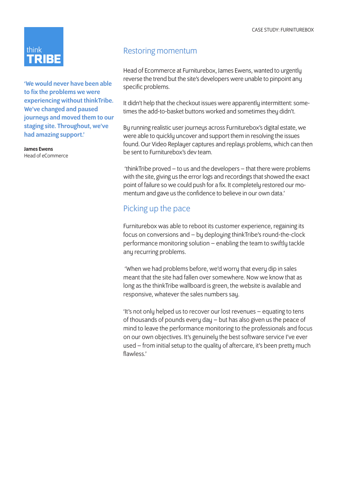

'We would never have been able to fix the problems we were experiencing without thinkTribe. We've changed and paused journeus and moved them to our staging site. Throughout, we've had amazing support.'

James Ewens Head of eCommerce

## Restoring momentum

Head of Ecommerce at Furniturebox, James Ewens, wanted to urgently reverse the trend but the site's developers were unable to pinpoint any specific problems.

It didn't help that the checkout issues were apparently intermittent: sometimes the add-to-basket buttons worked and sometimes they didn't.

Bu running realistic user journeus across Furniturebox's digital estate, we were able to quickly uncover and support them in resolving the issues found. Our Video Replayer captures and replays problems, which can then be sent to Furniturebox's dev team.

 'thinkTribe proved – to us and the developers – that there were problems with the site, giving us the error logs and recordings that showed the exact point of failure so we could push for a fix. It completely restored our momentum and gave us the confidence to believe in our own data.'

## Picking up the pace

Furniturebox was able to reboot its customer experience, regaining its focus on conversions and – by deploying thinkTribe's round-the-clock performance monitoring solution – enabling the team to swiftly tackle any recurring problems.

 'When we had problems before, we'd worry that every dip in sales meant that the site had fallen over somewhere. Now we know that as long as the thinkTribe wallboard is green, the website is available and responsive, whatever the sales numbers say.

'It's not only helped us to recover our lost revenues – equating to tens of thousands of pounds every day – but has also given us the peace of mind to leave the performance monitoring to the professionals and focus on our own objectives. It's genuinely the best software service I've ever used – from initial setup to the quality of aftercare, it's been pretty much flawless.'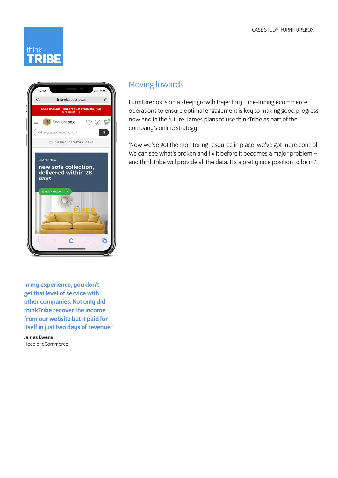



## Moving fowards

Furniturebox is on a steep growth trajectory. Fine-tuning ecommerce operations to ensure optimal engagement is key to making good progress now and in the future. James plans to use thinkTribe as part of the company's online strategy:

'Now we've got the monitoring resource in place, we've got more control. We can see what's broken and fix it before it becomes a major problem and thinkTribe will provide all the data. It's a pretty nice position to be in.'

In my experience, you don't get that level of service with other companies. Not only did thinkTribe recover the income from our website but it paid for itself in just two days of revenue.'

James Ewens Head of eCommerce